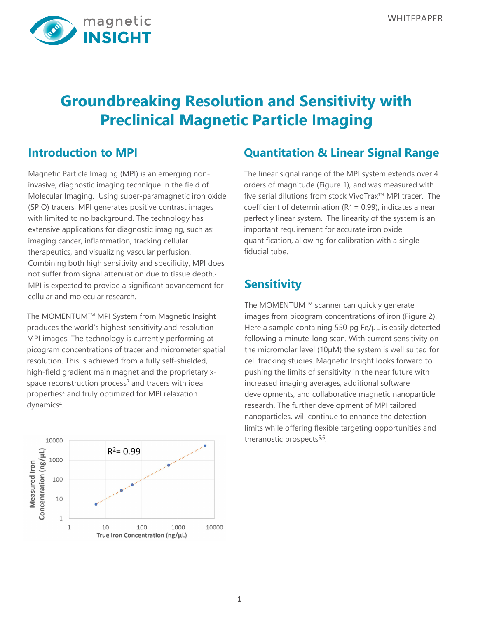

# **Groundbreaking Resolution and Sensitivity with Preclinical Magnetic Particle Imaging**

### **Introduction to MPI**

Magnetic Particle Imaging (MPI) is an emerging noninvasive, diagnostic imaging technique in the field of Molecular Imaging. Using super-paramagnetic iron oxide (SPIO) tracers, MPI generates positive contrast images with limited to no background. The technology has extensive applications for diagnostic imaging, such as: imaging cancer, inflammation, tracking cellular therapeutics, and visualizing vascular perfusion. Combining both high sensitivity and specificity, MPI does not suffer from signal attenuation due to tissue depth.<sub>1</sub> MPI is expected to provide a significant advancement for cellular and molecular research.

The MOMENTUMTM MPI System from Magnetic Insight produces the world's highest sensitivity and resolution MPI images. The technology is currently performing at picogram concentrations of tracer and micrometer spatial resolution. This is achieved from a fully self-shielded, high-field gradient main magnet and the proprietary xspace reconstruction process<sup>2</sup> and tracers with ideal properties<sup>3</sup> and truly optimized for MPI relaxation dynamics<sup>4</sup>.



### **Quantitation & Linear Signal Range**

The linear signal range of the MPI system extends over 4 orders of magnitude (Figure 1), and was measured with five serial dilutions from stock VivoTrax™ MPI tracer. The coefficient of determination ( $R^2 = 0.99$ ), indicates a near perfectly linear system. The linearity of the system is an important requirement for accurate iron oxide quantification, allowing for calibration with a single fiducial tube.

## **Sensitivity**

The MOMENTUMTM scanner can quickly generate images from picogram concentrations of iron (Figure 2). Here a sample containing 550 pg Fe/µL is easily detected following a minute-long scan. With current sensitivity on the micromolar level (10µM) the system is well suited for cell tracking studies. Magnetic Insight looks forward to pushing the limits of sensitivity in the near future with increased imaging averages, additional software developments, and collaborative magnetic nanoparticle research. The further development of MPI tailored nanoparticles, will continue to enhance the detection limits while offering flexible targeting opportunities and theranostic prospects<sup>5,6</sup>.